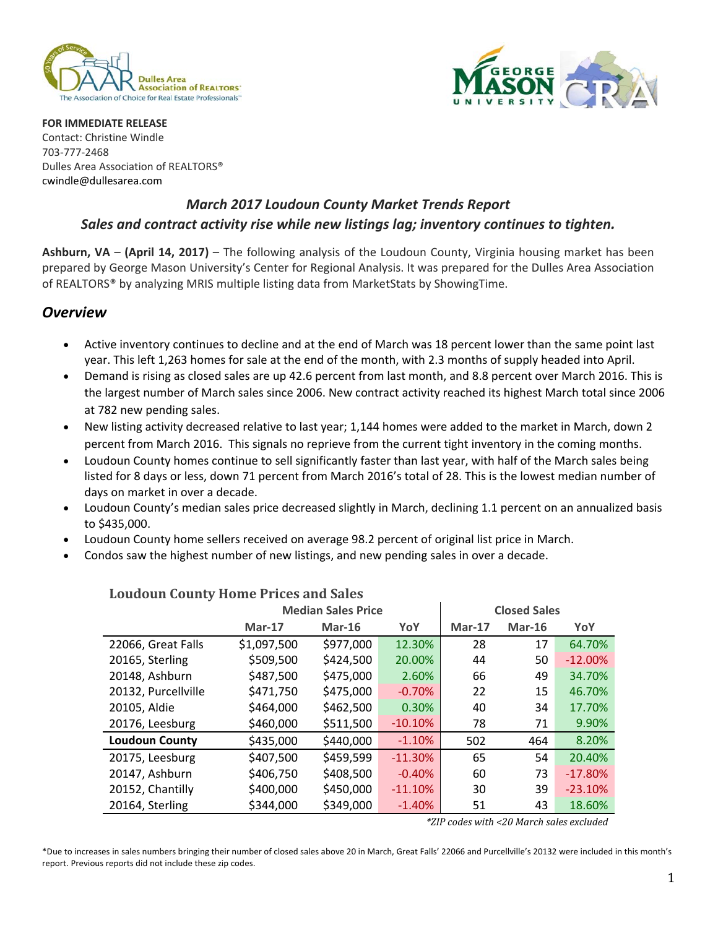



**FOR IMMEDIATE RELEASE**  Contact: Christine Windle 703‐777‐2468 Dulles Area Association of REALTORS® cwindle@dullesarea.com 

# *March 2017 Loudoun County Market Trends Report Sales and contract activity rise while new listings lag; inventory continues to tighten.*

**Ashburn, VA** – **(April 14, 2017)** – The following analysis of the Loudoun County, Virginia housing market has been prepared by George Mason University's Center for Regional Analysis. It was prepared for the Dulles Area Association of REALTORS® by analyzing MRIS multiple listing data from MarketStats by ShowingTime.

#### *Overview*

- Active inventory continues to decline and at the end of March was 18 percent lower than the same point last year. This left 1,263 homes for sale at the end of the month, with 2.3 months of supply headed into April.
- Demand is rising as closed sales are up 42.6 percent from last month, and 8.8 percent over March 2016. This is the largest number of March sales since 2006. New contract activity reached its highest March total since 2006 at 782 new pending sales.
- New listing activity decreased relative to last year; 1,144 homes were added to the market in March, down 2 percent from March 2016. This signals no reprieve from the current tight inventory in the coming months.
- Loudoun County homes continue to sell significantly faster than last year, with half of the March sales being listed for 8 days or less, down 71 percent from March 2016's total of 28. This is the lowest median number of days on market in over a decade.
- Loudoun County's median sales price decreased slightly in March, declining 1.1 percent on an annualized basis to \$435,000.
- Loudoun County home sellers received on average 98.2 percent of original list price in March.
- Condos saw the highest number of new listings, and new pending sales in over a decade.

|                       | <b>Median Sales Price</b> | <b>Closed Sales</b> |           |          |          |           |
|-----------------------|---------------------------|---------------------|-----------|----------|----------|-----------|
|                       | $Mar-17$                  | $Mar-16$            | YoY       | $Mar-17$ | $Mar-16$ | YoY       |
| 22066, Great Falls    | \$1,097,500               | \$977,000           | 12.30%    | 28       | 17       | 64.70%    |
| 20165, Sterling       | \$509,500                 | \$424,500           | 20.00%    | 44       | 50       | $-12.00%$ |
| 20148, Ashburn        | \$487,500                 | \$475,000           | 2.60%     | 66       | 49       | 34.70%    |
| 20132, Purcellville   | \$471,750                 | \$475,000           | $-0.70%$  | 22       | 15       | 46.70%    |
| 20105, Aldie          | \$464,000                 | \$462,500           | 0.30%     | 40       | 34       | 17.70%    |
| 20176, Leesburg       | \$460,000                 | \$511,500           | $-10.10%$ | 78       | 71       | 9.90%     |
| <b>Loudoun County</b> | \$435,000                 | \$440,000           | $-1.10%$  | 502      | 464      | 8.20%     |
| 20175, Leesburg       | \$407,500                 | \$459,599           | $-11.30%$ | 65       | 54       | 20.40%    |
| 20147, Ashburn        | \$406,750                 | \$408,500           | $-0.40%$  | 60       | 73       | $-17.80%$ |
| 20152, Chantilly      | \$400,000                 | \$450,000           | $-11.10%$ | 30       | 39       | $-23.10%$ |
| 20164, Sterling       | \$344,000                 | \$349,000           | $-1.40%$  | 51       | 43       | 18.60%    |

### **Loudoun County Home Prices and Sales**

*\*ZIP codes with <20 March sales excluded*

\*Due to increases in sales numbers bringing their number of closed sales above 20 in March, Great Falls' 22066 and Purcellville's 20132 were included in this month's report. Previous reports did not include these zip codes.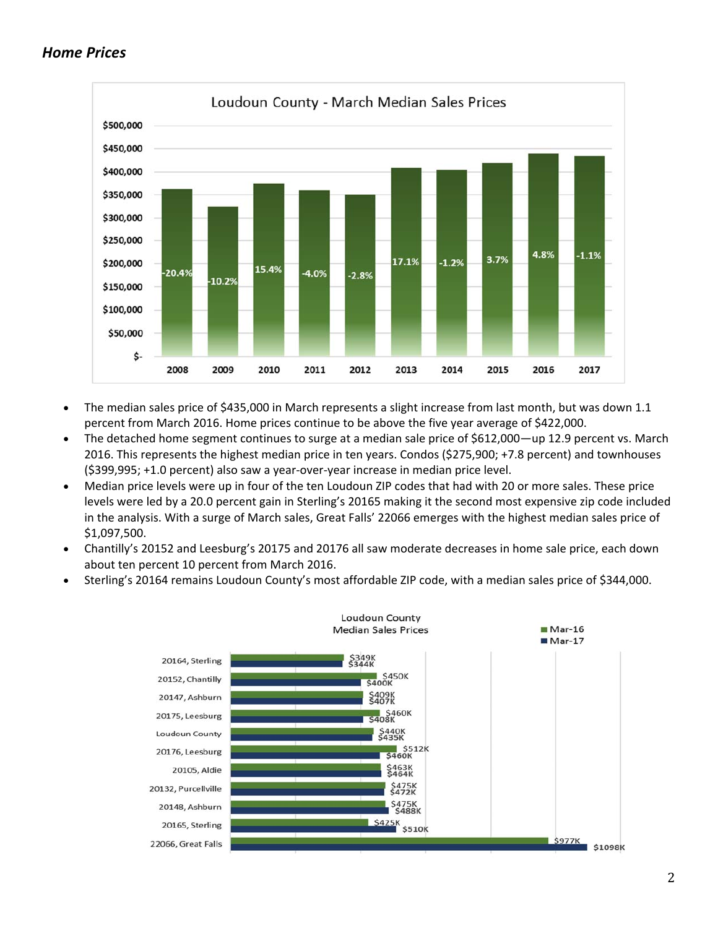### *Home Prices*



- The median sales price of \$435,000 in March represents a slight increase from last month, but was down 1.1 percent from March 2016. Home prices continue to be above the five year average of \$422,000.
- The detached home segment continues to surge at a median sale price of \$612,000—up 12.9 percent vs. March 2016. This represents the highest median price in ten years. Condos (\$275,900; +7.8 percent) and townhouses (\$399,995; +1.0 percent) also saw a year‐over‐year increase in median price level.
- Median price levels were up in four of the ten Loudoun ZIP codes that had with 20 or more sales. These price levels were led by a 20.0 percent gain in Sterling's 20165 making it the second most expensive zip code included in the analysis. With a surge of March sales, Great Falls' 22066 emerges with the highest median sales price of \$1,097,500.
- Chantilly's 20152 and Leesburg's 20175 and 20176 all saw moderate decreases in home sale price, each down about ten percent 10 percent from March 2016.
- Sterling's 20164 remains Loudoun County's most affordable ZIP code, with a median sales price of \$344,000.

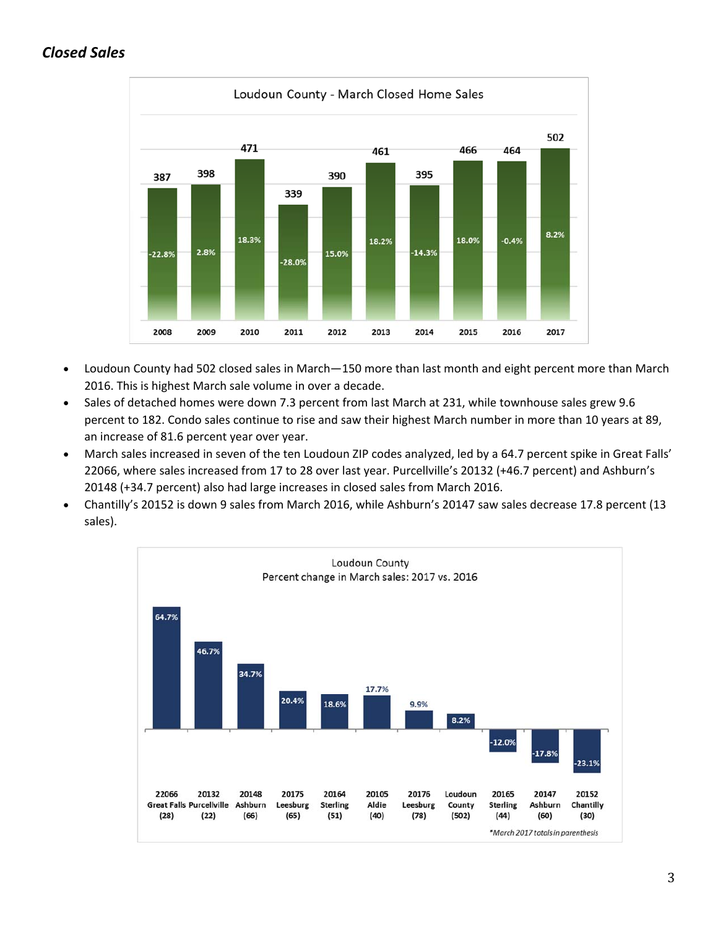# *Closed Sales*



- Loudoun County had 502 closed sales in March—150 more than last month and eight percent more than March 2016. This is highest March sale volume in over a decade.
- Sales of detached homes were down 7.3 percent from last March at 231, while townhouse sales grew 9.6 percent to 182. Condo sales continue to rise and saw their highest March number in more than 10 years at 89, an increase of 81.6 percent year over year.
- March sales increased in seven of the ten Loudoun ZIP codes analyzed, led by a 64.7 percent spike in Great Falls' 22066, where sales increased from 17 to 28 over last year. Purcellville's 20132 (+46.7 percent) and Ashburn's 20148 (+34.7 percent) also had large increases in closed sales from March 2016.
- Chantilly's 20152 is down 9 sales from March 2016, while Ashburn's 20147 saw sales decrease 17.8 percent (13 sales).

![](_page_2_Figure_6.jpeg)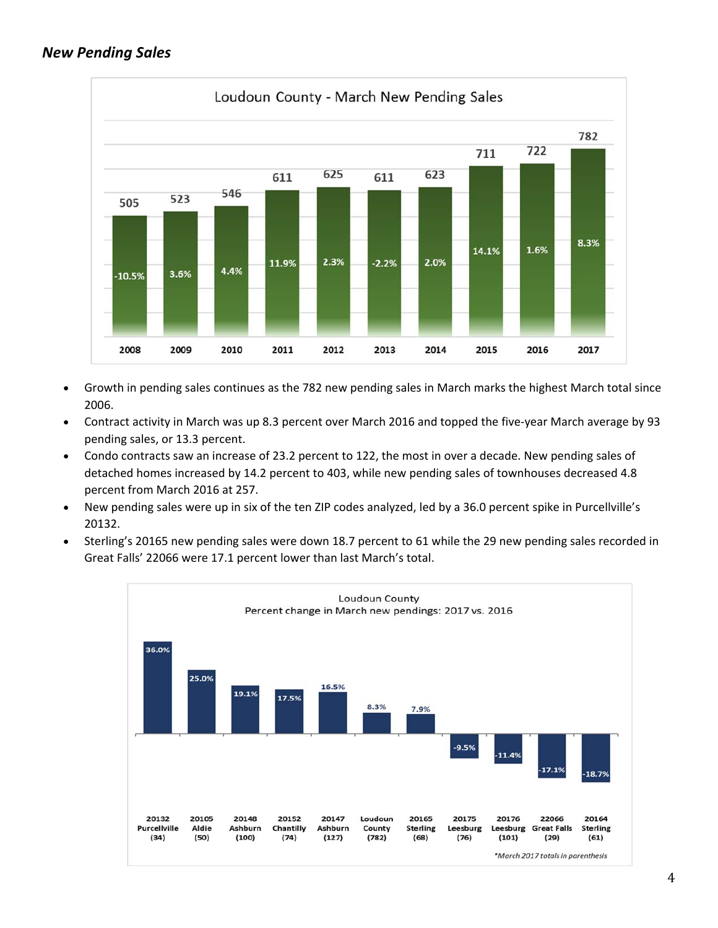### *New Pending Sales*

![](_page_3_Figure_1.jpeg)

- Growth in pending sales continues as the 782 new pending sales in March marks the highest March total since 2006.
- Contract activity in March was up 8.3 percent over March 2016 and topped the five-year March average by 93 pending sales, or 13.3 percent.
- Condo contracts saw an increase of 23.2 percent to 122, the most in over a decade. New pending sales of detached homes increased by 14.2 percent to 403, while new pending sales of townhouses decreased 4.8 percent from March 2016 at 257.
- New pending sales were up in six of the ten ZIP codes analyzed, led by a 36.0 percent spike in Purcellville's 20132.
- Sterling's 20165 new pending sales were down 18.7 percent to 61 while the 29 new pending sales recorded in Great Falls' 22066 were 17.1 percent lower than last March's total.

![](_page_3_Figure_7.jpeg)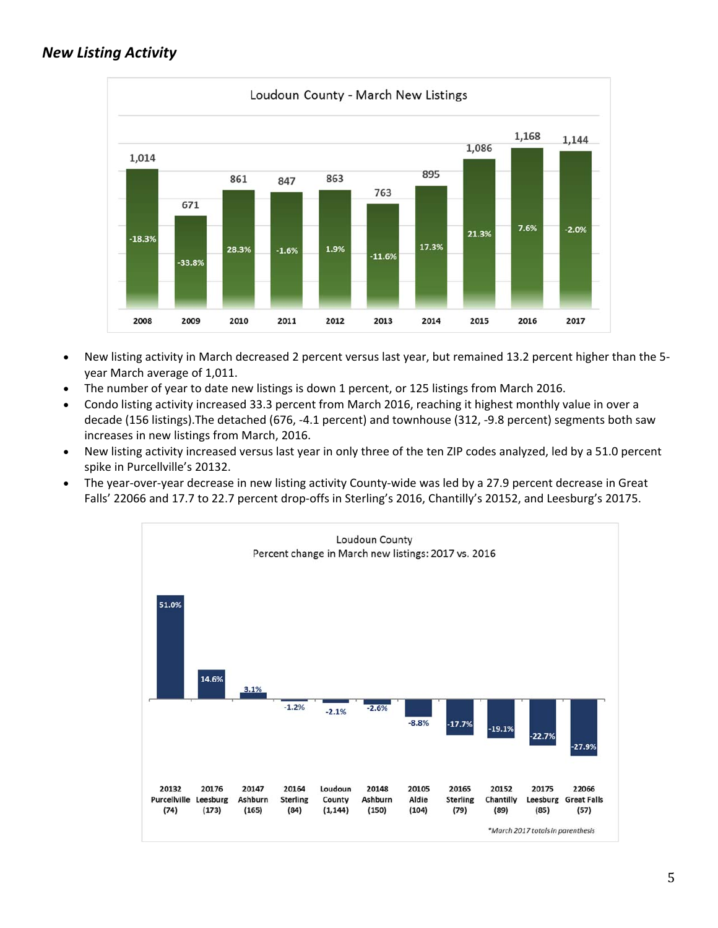## *New Listing Activity*

![](_page_4_Figure_1.jpeg)

- New listing activity in March decreased 2 percent versus last year, but remained 13.2 percent higher than the 5‐ year March average of 1,011.
- The number of year to date new listings is down 1 percent, or 125 listings from March 2016.
- Condo listing activity increased 33.3 percent from March 2016, reaching it highest monthly value in over a decade (156 listings).The detached (676, ‐4.1 percent) and townhouse (312, ‐9.8 percent) segments both saw increases in new listings from March, 2016.
- New listing activity increased versus last year in only three of the ten ZIP codes analyzed, led by a 51.0 percent spike in Purcellville's 20132.
- The year-over-year decrease in new listing activity County-wide was led by a 27.9 percent decrease in Great Falls' 22066 and 17.7 to 22.7 percent drop-offs in Sterling's 2016, Chantilly's 20152, and Leesburg's 20175.

![](_page_4_Figure_7.jpeg)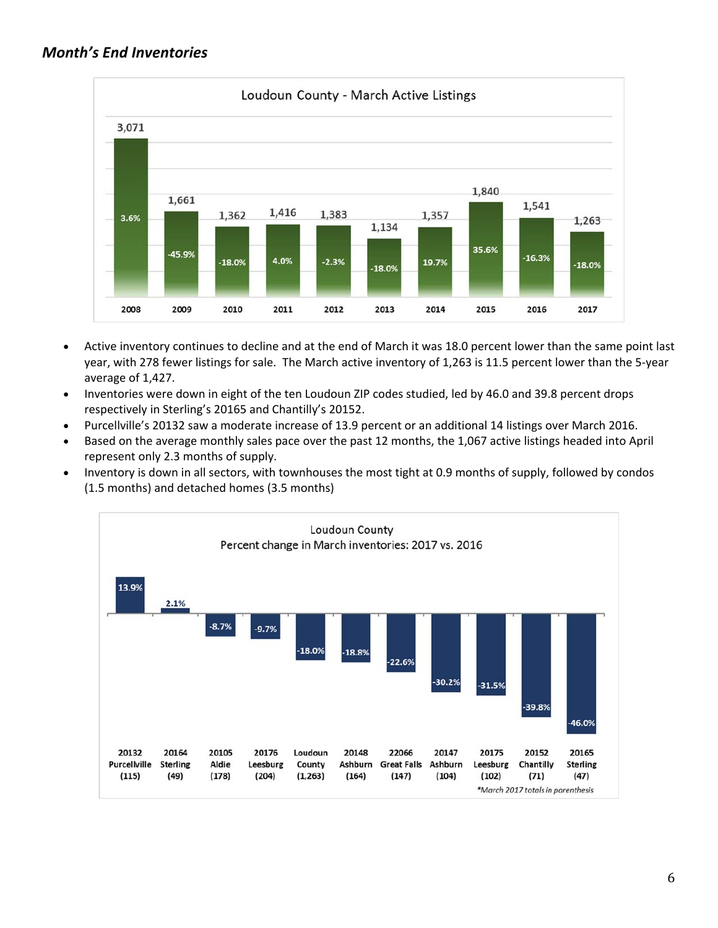![](_page_5_Figure_1.jpeg)

- Active inventory continues to decline and at the end of March it was 18.0 percent lower than the same point last year, with 278 fewer listings for sale. The March active inventory of 1,263 is 11.5 percent lower than the 5‐year average of 1,427.
- Inventories were down in eight of the ten Loudoun ZIP codes studied, led by 46.0 and 39.8 percent drops respectively in Sterling's 20165 and Chantilly's 20152.
- Purcellville's 20132 saw a moderate increase of 13.9 percent or an additional 14 listings over March 2016.
- Based on the average monthly sales pace over the past 12 months, the 1,067 active listings headed into April represent only 2.3 months of supply.
- Inventory is down in all sectors, with townhouses the most tight at 0.9 months of supply, followed by condos (1.5 months) and detached homes (3.5 months)

![](_page_5_Figure_7.jpeg)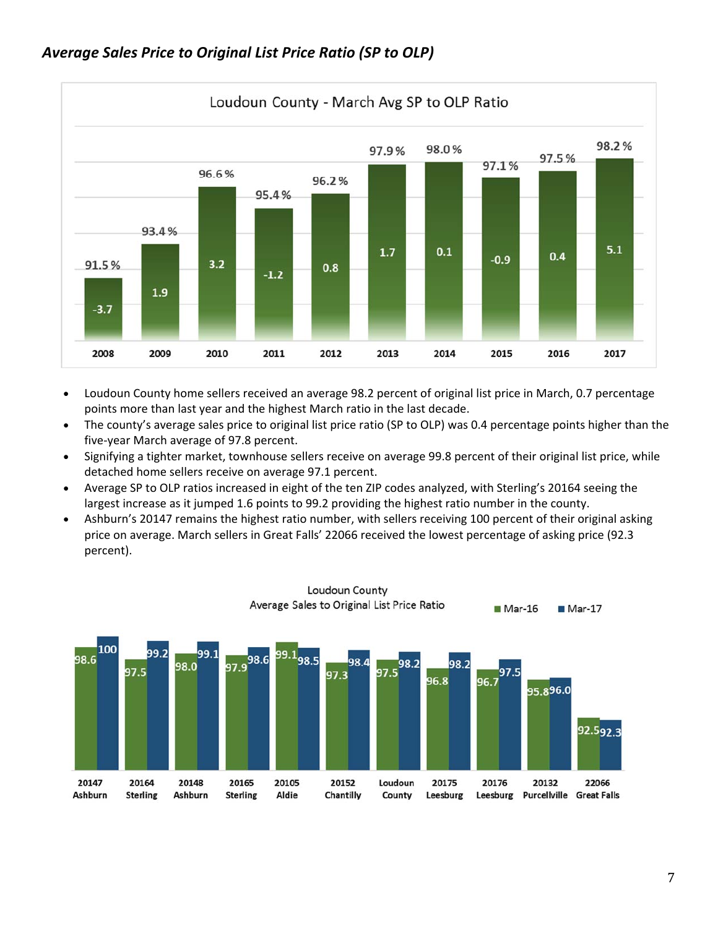![](_page_6_Figure_0.jpeg)

![](_page_6_Figure_1.jpeg)

- Loudoun County home sellers received an average 98.2 percent of original list price in March, 0.7 percentage points more than last year and the highest March ratio in the last decade.
- The county's average sales price to original list price ratio (SP to OLP) was 0.4 percentage points higher than the five‐year March average of 97.8 percent.
- Signifying a tighter market, townhouse sellers receive on average 99.8 percent of their original list price, while detached home sellers receive on average 97.1 percent.
- Average SP to OLP ratios increased in eight of the ten ZIP codes analyzed, with Sterling's 20164 seeing the largest increase as it jumped 1.6 points to 99.2 providing the highest ratio number in the county.
- Ashburn's 20147 remains the highest ratio number, with sellers receiving 100 percent of their original asking price on average. March sellers in Great Falls' 22066 received the lowest percentage of asking price (92.3 percent).

![](_page_6_Figure_7.jpeg)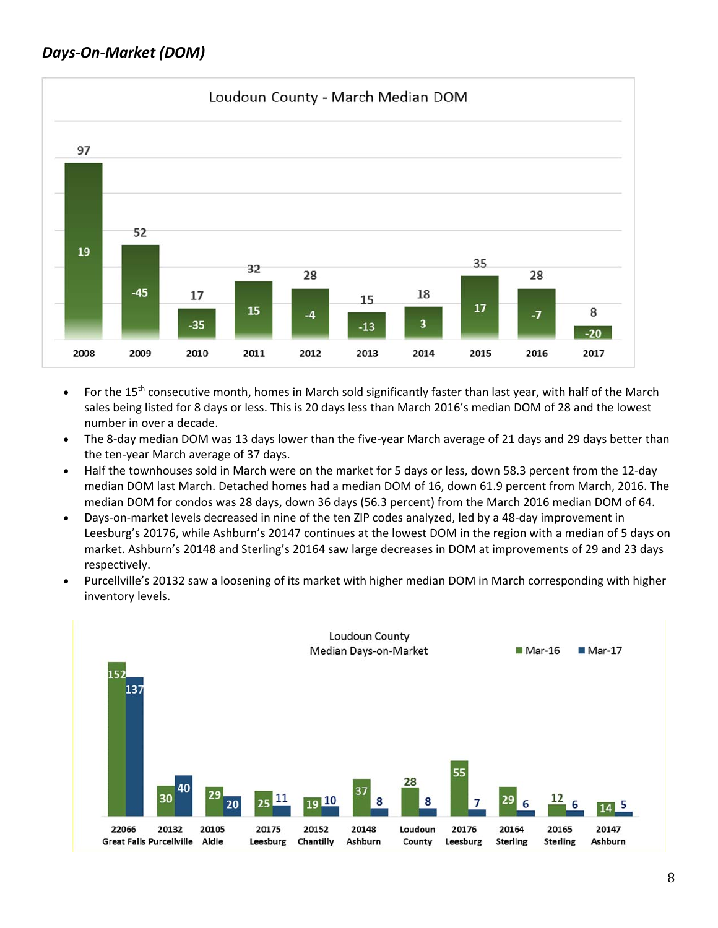# *Days‐On‐Market (DOM)*

![](_page_7_Figure_1.jpeg)

- For the 15<sup>th</sup> consecutive month, homes in March sold significantly faster than last year, with half of the March sales being listed for 8 days or less. This is 20 days less than March 2016's median DOM of 28 and the lowest number in over a decade.
- The 8-day median DOM was 13 days lower than the five-year March average of 21 days and 29 days better than the ten‐year March average of 37 days.
- Half the townhouses sold in March were on the market for 5 days or less, down 58.3 percent from the 12-day median DOM last March. Detached homes had a median DOM of 16, down 61.9 percent from March, 2016. The median DOM for condos was 28 days, down 36 days (56.3 percent) from the March 2016 median DOM of 64.
- Days‐on‐market levels decreased in nine of the ten ZIP codes analyzed, led by a 48‐day improvement in Leesburg's 20176, while Ashburn's 20147 continues at the lowest DOM in the region with a median of 5 days on market. Ashburn's 20148 and Sterling's 20164 saw large decreases in DOM at improvements of 29 and 23 days respectively.
- Purcellville's 20132 saw a loosening of its market with higher median DOM in March corresponding with higher inventory levels.

![](_page_7_Figure_7.jpeg)